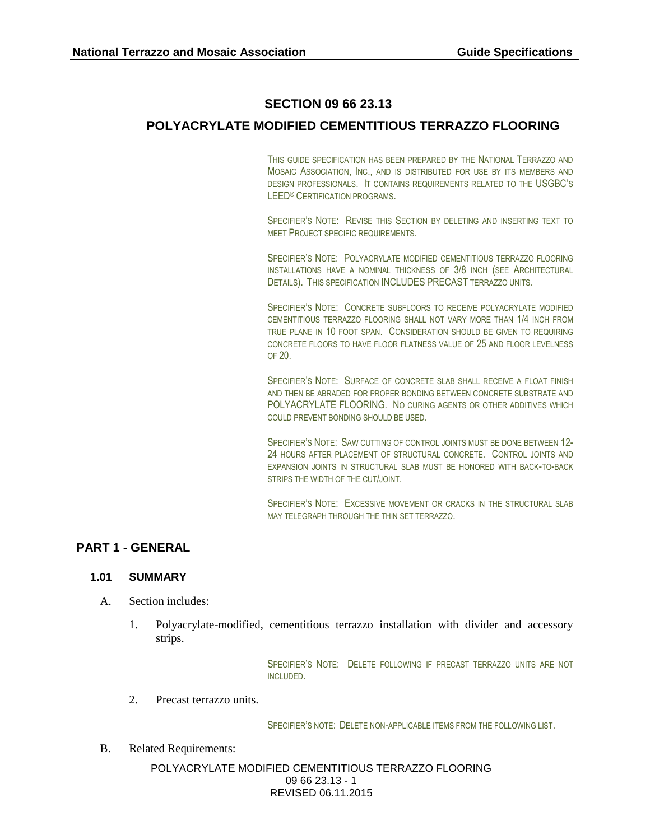# **SECTION 09 66 23.13**

# **POLYACRYLATE MODIFIED CEMENTITIOUS TERRAZZO FLOORING**

THIS GUIDE SPECIFICATION HAS BEEN PREPARED BY THE NATIONAL TERRAZZO AND MOSAIC ASSOCIATION, INC., AND IS DISTRIBUTED FOR USE BY ITS MEMBERS AND DESIGN PROFESSIONALS. IT CONTAINS REQUIREMENTS RELATED TO THE USGBC'S LEED® CERTIFICATION PROGRAMS.

SPECIFIER'S NOTE: REVISE THIS SECTION BY DELETING AND INSERTING TEXT TO MEET PROJECT SPECIFIC REQUIREMENTS.

SPECIFIER'S NOTE: POLYACRYLATE MODIFIED CEMENTITIOUS TERRAZZO FLOORING INSTALLATIONS HAVE A NOMINAL THICKNESS OF 3/8 INCH (SEE ARCHITECTURAL DETAILS). THIS SPECIFICATION INCLUDES PRECAST TERRAZZO UNITS.

SPECIFIER'S NOTE: CONCRETE SUBFLOORS TO RECEIVE POLYACRYLATE MODIFIED CEMENTITIOUS TERRAZZO FLOORING SHALL NOT VARY MORE THAN 1/4 INCH FROM TRUE PLANE IN 10 FOOT SPAN. CONSIDERATION SHOULD BE GIVEN TO REQUIRING CONCRETE FLOORS TO HAVE FLOOR FLATNESS VALUE OF 25 AND FLOOR LEVELNESS OF 20.

SPECIFIER'S NOTE: SURFACE OF CONCRETE SLAB SHALL RECEIVE A FLOAT FINISH AND THEN BE ABRADED FOR PROPER BONDING BETWEEN CONCRETE SUBSTRATE AND POLYACRYLATE FLOORING. NO CURING AGENTS OR OTHER ADDITIVES WHICH COULD PREVENT BONDING SHOULD BE USED.

SPECIFIER'S NOTE: SAW CUTTING OF CONTROL JOINTS MUST BE DONE BETWEEN 12-24 HOURS AFTER PLACEMENT OF STRUCTURAL CONCRETE. CONTROL JOINTS AND EXPANSION JOINTS IN STRUCTURAL SLAB MUST BE HONORED WITH BACK-TO-BACK STRIPS THE WIDTH OF THE CUT/JOINT.

SPECIFIER'S NOTE: EXCESSIVE MOVEMENT OR CRACKS IN THE STRUCTURAL SLAB MAY TELEGRAPH THROUGH THE THIN SET TERRAZZO.

## **PART 1 - GENERAL**

## **1.01 SUMMARY**

- A. Section includes:
	- 1. Polyacrylate-modified, cementitious terrazzo installation with divider and accessory strips.

SPECIFIER'S NOTE: DELETE FOLLOWING IF PRECAST TERRAZZO UNITS ARE NOT INCLUDED.

2. Precast terrazzo units.

SPECIFIER'S NOTE: DELETE NON-APPLICABLE ITEMS FROM THE FOLLOWING LIST.

B. Related Requirements: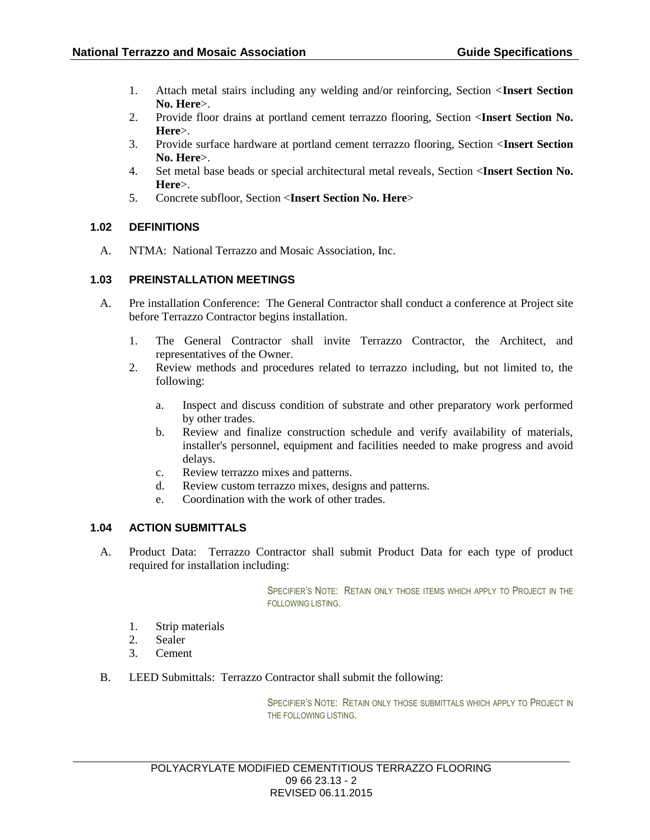- 1. Attach metal stairs including any welding and/or reinforcing, Section <**Insert Section No. Here**>.
- 2. Provide floor drains at portland cement terrazzo flooring, Section <**Insert Section No. Here**>.
- 3. Provide surface hardware at portland cement terrazzo flooring, Section <**Insert Section No. Here**>.
- 4. Set metal base beads or special architectural metal reveals, Section <**Insert Section No. Here**>.
- 5. Concrete subfloor, Section <**Insert Section No. Here**>

## **1.02 DEFINITIONS**

A. NTMA: National Terrazzo and Mosaic Association, Inc.

## **1.03 PREINSTALLATION MEETINGS**

- A. Pre installation Conference: The General Contractor shall conduct a conference at Project site before Terrazzo Contractor begins installation.
	- 1. The General Contractor shall invite Terrazzo Contractor, the Architect, and representatives of the Owner.
	- 2. Review methods and procedures related to terrazzo including, but not limited to, the following:
		- a. Inspect and discuss condition of substrate and other preparatory work performed by other trades.
		- b. Review and finalize construction schedule and verify availability of materials, installer's personnel, equipment and facilities needed to make progress and avoid delays.
		- c. Review terrazzo mixes and patterns.
		- d. Review custom terrazzo mixes, designs and patterns.
		- e. Coordination with the work of other trades.

## **1.04 ACTION SUBMITTALS**

A. Product Data: Terrazzo Contractor shall submit Product Data for each type of product required for installation including:

> SPECIFIER'S NOTE: RETAIN ONLY THOSE ITEMS WHICH APPLY TO PROJECT IN THE FOLLOWING LISTING.

- 1. Strip materials
- 2. Sealer
- 3. Cement
- B. LEED Submittals: Terrazzo Contractor shall submit the following:

SPECIFIER'S NOTE: RETAIN ONLY THOSE SUBMITTALS WHICH APPLY TO PROJECT IN THE FOLLOWING LISTING.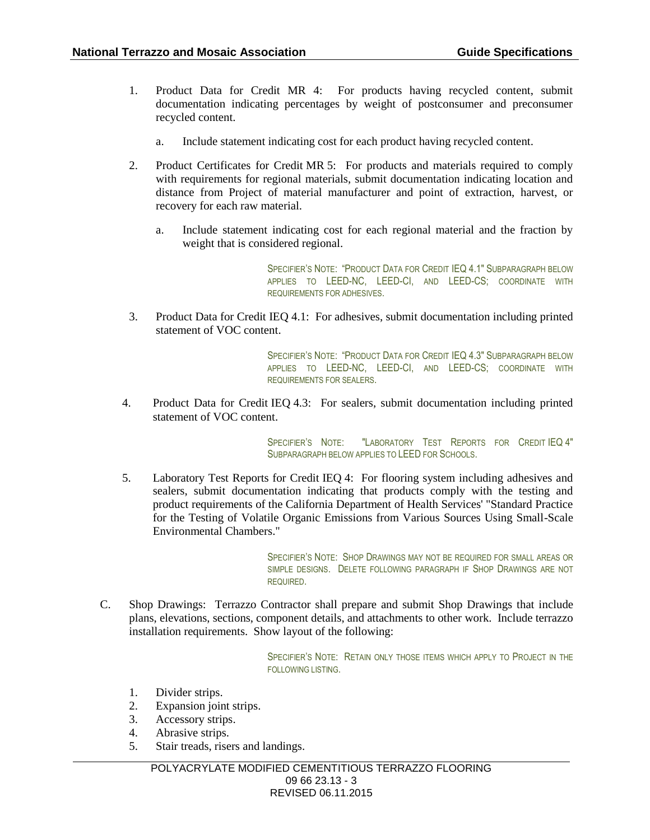- 1. Product Data for Credit MR 4: For products having recycled content, submit documentation indicating percentages by weight of postconsumer and preconsumer recycled content.
	- a. Include statement indicating cost for each product having recycled content.
- 2. Product Certificates for Credit MR 5: For products and materials required to comply with requirements for regional materials, submit documentation indicating location and distance from Project of material manufacturer and point of extraction, harvest, or recovery for each raw material.
	- a. Include statement indicating cost for each regional material and the fraction by weight that is considered regional.

SPECIFIER'S NOTE: "PRODUCT DATA FOR CREDIT IEQ 4.1" SUBPARAGRAPH BELOW APPLIES TO LEED-NC, LEED-CI, AND LEED-CS; COORDINATE WITH REQUIREMENTS FOR ADHESIVES.

3. Product Data for Credit IEQ 4.1: For adhesives, submit documentation including printed statement of VOC content.

> SPECIFIER'S NOTE: "PRODUCT DATA FOR CREDIT IEQ 4.3" SUBPARAGRAPH BELOW APPLIES TO LEED-NC, LEED-CI, AND LEED-CS; COORDINATE WITH REQUIREMENTS FOR SEALERS.

4. Product Data for Credit IEQ 4.3: For sealers, submit documentation including printed statement of VOC content.

> SPECIFIER'S NOTE: "LABORATORY TEST REPORTS FOR CREDIT IEQ 4" SUBPARAGRAPH BELOW APPLIES TO LEED FOR SCHOOLS.

5. Laboratory Test Reports for Credit IEQ 4: For flooring system including adhesives and sealers, submit documentation indicating that products comply with the testing and product requirements of the California Department of Health Services' "Standard Practice for the Testing of Volatile Organic Emissions from Various Sources Using Small-Scale Environmental Chambers."

> SPECIFIER'S NOTE: SHOP DRAWINGS MAY NOT BE REQUIRED FOR SMALL AREAS OR SIMPLE DESIGNS. DELETE FOLLOWING PARAGRAPH IF SHOP DRAWINGS ARE NOT REQUIRED.

C. Shop Drawings: Terrazzo Contractor shall prepare and submit Shop Drawings that include plans, elevations, sections, component details, and attachments to other work. Include terrazzo installation requirements. Show layout of the following:

> SPECIFIER'S NOTE: RETAIN ONLY THOSE ITEMS WHICH APPLY TO PROJECT IN THE FOLLOWING LISTING.

- 1. Divider strips.
- 2. Expansion joint strips.
- 3. Accessory strips.
- 4. Abrasive strips.
- 5. Stair treads, risers and landings.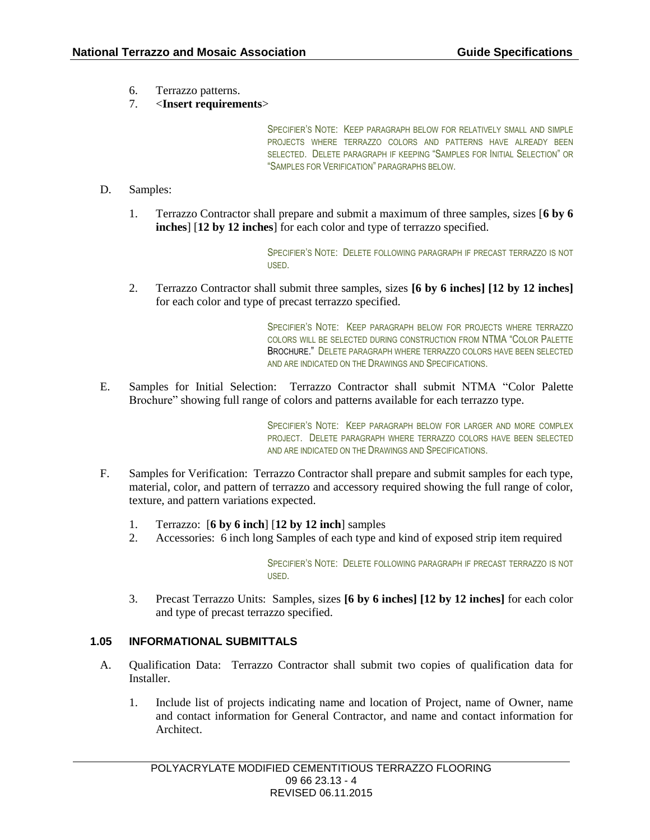6. Terrazzo patterns.

## 7. <**Insert requirements**>

SPECIFIER'S NOTE: KEEP PARAGRAPH BELOW FOR RELATIVELY SMALL AND SIMPLE PROJECTS WHERE TERRAZZO COLORS AND PATTERNS HAVE ALREADY BEEN SELECTED. DELETE PARAGRAPH IF KEEPING "SAMPLES FOR INITIAL SELECTION" OR "SAMPLES FOR VERIFICATION" PARAGRAPHS BELOW.

- D. Samples:
	- 1. Terrazzo Contractor shall prepare and submit a maximum of three samples, sizes [**6 by 6 inches**] [**12 by 12 inches**] for each color and type of terrazzo specified.

SPECIFIER'S NOTE: DELETE FOLLOWING PARAGRAPH IF PRECAST TERRAZZO IS NOT USED.

2. Terrazzo Contractor shall submit three samples, sizes **[6 by 6 inches] [12 by 12 inches]** for each color and type of precast terrazzo specified.

> SPECIFIER'S NOTE: KEEP PARAGRAPH BELOW FOR PROJECTS WHERE TERRAZZO COLORS WILL BE SELECTED DURING CONSTRUCTION FROM NTMA "COLOR PALETTE BROCHURE." DELETE PARAGRAPH WHERE TERRAZZO COLORS HAVE BEEN SELECTED AND ARE INDICATED ON THE DRAWINGS AND SPECIFICATIONS.

E. Samples for Initial Selection: Terrazzo Contractor shall submit NTMA "Color Palette Brochure" showing full range of colors and patterns available for each terrazzo type.

> SPECIFIER'S NOTE: KEEP PARAGRAPH BELOW FOR LARGER AND MORE COMPLEX PROJECT. DELETE PARAGRAPH WHERE TERRAZZO COLORS HAVE BEEN SELECTED AND ARE INDICATED ON THE DRAWINGS AND SPECIFICATIONS.

- F. Samples for Verification: Terrazzo Contractor shall prepare and submit samples for each type, material, color, and pattern of terrazzo and accessory required showing the full range of color, texture, and pattern variations expected.
	- 1. Terrazzo: [**6 by 6 inch**] [**12 by 12 inch**] samples
	- 2. Accessories: 6 inch long Samples of each type and kind of exposed strip item required

SPECIFIER'S NOTE: DELETE FOLLOWING PARAGRAPH IF PRECAST TERRAZZO IS NOT USED.

3. Precast Terrazzo Units: Samples, sizes **[6 by 6 inches] [12 by 12 inches]** for each color and type of precast terrazzo specified.

## **1.05 INFORMATIONAL SUBMITTALS**

- A. Qualification Data: Terrazzo Contractor shall submit two copies of qualification data for Installer.
	- 1. Include list of projects indicating name and location of Project, name of Owner, name and contact information for General Contractor, and name and contact information for Architect.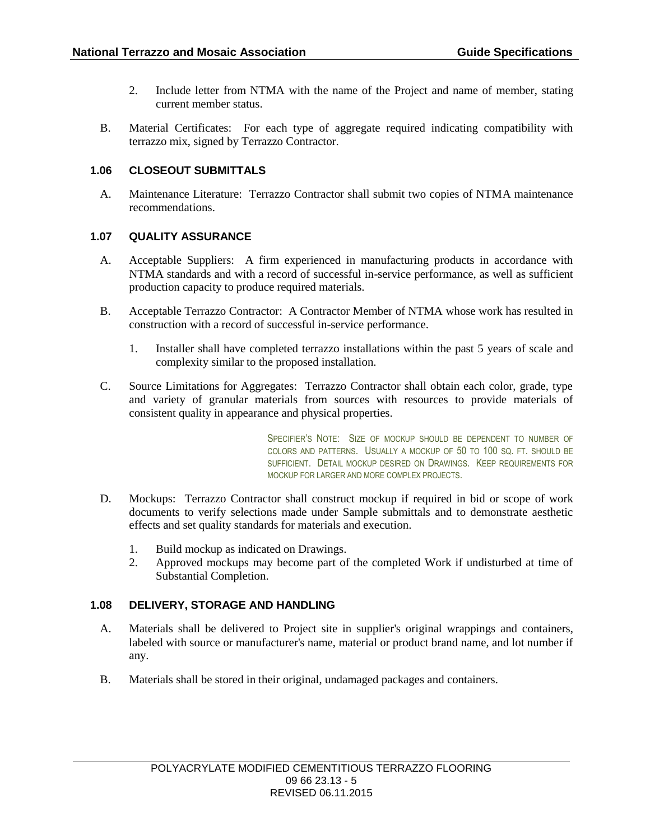- 2. Include letter from NTMA with the name of the Project and name of member, stating current member status.
- B. Material Certificates: For each type of aggregate required indicating compatibility with terrazzo mix, signed by Terrazzo Contractor.

## **1.06 CLOSEOUT SUBMITTALS**

A. Maintenance Literature: Terrazzo Contractor shall submit two copies of NTMA maintenance recommendations.

## **1.07 QUALITY ASSURANCE**

- A. Acceptable Suppliers: A firm experienced in manufacturing products in accordance with NTMA standards and with a record of successful in-service performance, as well as sufficient production capacity to produce required materials.
- B. Acceptable Terrazzo Contractor: A Contractor Member of NTMA whose work has resulted in construction with a record of successful in-service performance.
	- 1. Installer shall have completed terrazzo installations within the past 5 years of scale and complexity similar to the proposed installation.
- C. Source Limitations for Aggregates: Terrazzo Contractor shall obtain each color, grade, type and variety of granular materials from sources with resources to provide materials of consistent quality in appearance and physical properties.

SPECIFIER'S NOTE: SIZE OF MOCKUP SHOULD BE DEPENDENT TO NUMBER OF COLORS AND PATTERNS. USUALLY A MOCKUP OF 50 TO 100 SQ. FT. SHOULD BE SUFFICIENT. DETAIL MOCKUP DESIRED ON DRAWINGS. KEEP REQUIREMENTS FOR MOCKUP FOR LARGER AND MORE COMPLEX PROJECTS.

- D. Mockups: Terrazzo Contractor shall construct mockup if required in bid or scope of work documents to verify selections made under Sample submittals and to demonstrate aesthetic effects and set quality standards for materials and execution.
	- 1. Build mockup as indicated on Drawings.
	- 2. Approved mockups may become part of the completed Work if undisturbed at time of Substantial Completion.

## **1.08 DELIVERY, STORAGE AND HANDLING**

- A. Materials shall be delivered to Project site in supplier's original wrappings and containers, labeled with source or manufacturer's name, material or product brand name, and lot number if any.
- B. Materials shall be stored in their original, undamaged packages and containers.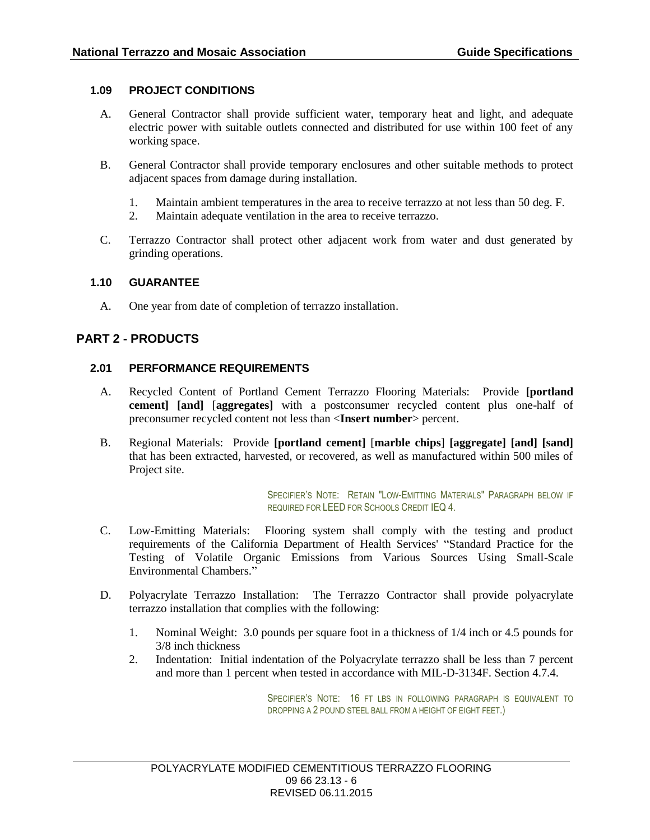## **1.09 PROJECT CONDITIONS**

- A. General Contractor shall provide sufficient water, temporary heat and light, and adequate electric power with suitable outlets connected and distributed for use within 100 feet of any working space.
- B. General Contractor shall provide temporary enclosures and other suitable methods to protect adjacent spaces from damage during installation.
	- 1. Maintain ambient temperatures in the area to receive terrazzo at not less than 50 deg. F.
	- 2. Maintain adequate ventilation in the area to receive terrazzo.
- C. Terrazzo Contractor shall protect other adjacent work from water and dust generated by grinding operations.

## **1.10 GUARANTEE**

A. One year from date of completion of terrazzo installation.

## **PART 2 - PRODUCTS**

## **2.01 PERFORMANCE REQUIREMENTS**

- A. Recycled Content of Portland Cement Terrazzo Flooring Materials: Provide **[portland cement] [and]** [**aggregates]** with a postconsumer recycled content plus one-half of preconsumer recycled content not less than <**Insert number**> percent.
- B. Regional Materials: Provide **[portland cement]** [**marble chips**] **[aggregate] [and] [sand]** that has been extracted, harvested, or recovered, as well as manufactured within 500 miles of Project site.

SPECIFIER'S NOTE: RETAIN "LOW-EMITTING MATERIALS" PARAGRAPH BELOW IF REQUIRED FOR LEED FOR SCHOOLS CREDIT IEQ 4.

- C. Low-Emitting Materials: Flooring system shall comply with the testing and product requirements of the California Department of Health Services' "Standard Practice for the Testing of Volatile Organic Emissions from Various Sources Using Small-Scale Environmental Chambers."
- D. Polyacrylate Terrazzo Installation: The Terrazzo Contractor shall provide polyacrylate terrazzo installation that complies with the following:
	- 1. Nominal Weight: 3.0 pounds per square foot in a thickness of 1/4 inch or 4.5 pounds for 3/8 inch thickness
	- 2. Indentation: Initial indentation of the Polyacrylate terrazzo shall be less than 7 percent and more than 1 percent when tested in accordance with MIL-D-3134F. Section 4.7.4.

SPECIFIER'S NOTE: 16 FT LBS IN FOLLOWING PARAGRAPH IS FOUNALENT TO DROPPING A 2 POUND STEEL BALL FROM A HEIGHT OF EIGHT FEET.)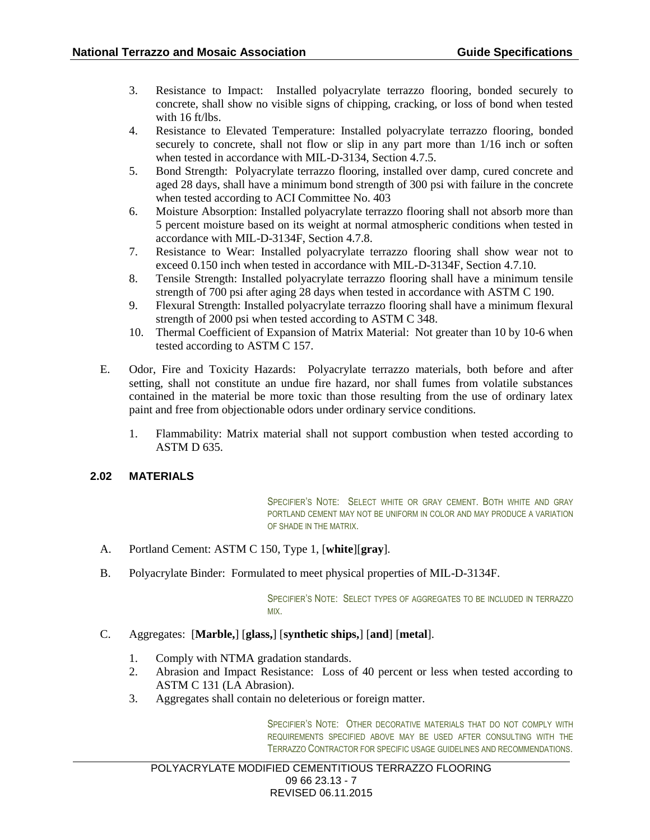- 3. Resistance to Impact: Installed polyacrylate terrazzo flooring, bonded securely to concrete, shall show no visible signs of chipping, cracking, or loss of bond when tested with 16 ft/lbs.
- 4. Resistance to Elevated Temperature: Installed polyacrylate terrazzo flooring, bonded securely to concrete, shall not flow or slip in any part more than 1/16 inch or soften when tested in accordance with MIL-D-3134, Section 4.7.5.
- 5. Bond Strength: Polyacrylate terrazzo flooring, installed over damp, cured concrete and aged 28 days, shall have a minimum bond strength of 300 psi with failure in the concrete when tested according to ACI Committee No. 403
- 6. Moisture Absorption: Installed polyacrylate terrazzo flooring shall not absorb more than 5 percent moisture based on its weight at normal atmospheric conditions when tested in accordance with MIL-D-3134F, Section 4.7.8.
- 7. Resistance to Wear: Installed polyacrylate terrazzo flooring shall show wear not to exceed 0.150 inch when tested in accordance with MIL-D-3134F, Section 4.7.10.
- 8. Tensile Strength: Installed polyacrylate terrazzo flooring shall have a minimum tensile strength of 700 psi after aging 28 days when tested in accordance with ASTM C 190.
- 9. Flexural Strength: Installed polyacrylate terrazzo flooring shall have a minimum flexural strength of 2000 psi when tested according to ASTM C 348.
- 10. Thermal Coefficient of Expansion of Matrix Material: Not greater than 10 by 10-6 when tested according to ASTM C 157.
- E. Odor, Fire and Toxicity Hazards: Polyacrylate terrazzo materials, both before and after setting, shall not constitute an undue fire hazard, nor shall fumes from volatile substances contained in the material be more toxic than those resulting from the use of ordinary latex paint and free from objectionable odors under ordinary service conditions.
	- 1. Flammability: Matrix material shall not support combustion when tested according to ASTM D 635.

## **2.02 MATERIALS**

SPECIFIER'S NOTE: SELECT WHITE OR GRAY CEMENT. BOTH WHITE AND GRAY PORTLAND CEMENT MAY NOT BE UNIFORM IN COLOR AND MAY PRODUCE A VARIATION OF SHADE IN THE MATRIX.

- A. Portland Cement: ASTM C 150, Type 1, [**white**][**gray**].
- B. Polyacrylate Binder: Formulated to meet physical properties of MIL-D-3134F.

SPECIFIER'S NOTE: SELECT TYPES OF AGGREGATES TO BE INCLUDED IN TERRAZZO MIX.

- C. Aggregates: [**Marble,**] [**glass,**] [**synthetic ships,**] [**and**] [**metal**].
	- 1. Comply with NTMA gradation standards.
	- 2. Abrasion and Impact Resistance: Loss of 40 percent or less when tested according to ASTM C 131 (LA Abrasion).
	- 3. Aggregates shall contain no deleterious or foreign matter.

SPECIFIER'S NOTE: OTHER DECORATIVE MATERIALS THAT DO NOT COMPLY WITH REQUIREMENTS SPECIFIED ABOVE MAY BE USED AFTER CONSULTING WITH THE TERRAZZO CONTRACTOR FOR SPECIFIC USAGE GUIDELINES AND RECOMMENDATIONS.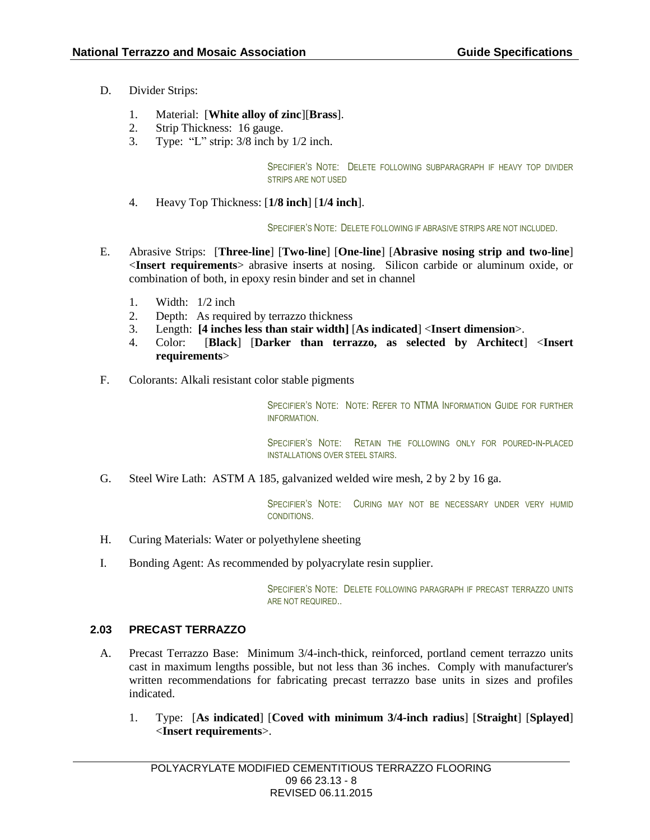- D. Divider Strips:
	- 1. Material: [**White alloy of zinc**][**Brass**].
	- 2. Strip Thickness: 16 gauge.
	- 3. Type: "L" strip: 3/8 inch by 1/2 inch.

SPECIFIER'S NOTE: DELETE FOLLOWING SUBPARAGRAPH IF HEAVY TOP DIVIDER STRIPS ARE NOT USED

4. Heavy Top Thickness: [**1/8 inch**] [**1/4 inch**].

SPECIFIER'S NOTE: DELETE FOLLOWING IF ABRASIVE STRIPS ARE NOT INCLUDED.

- E. Abrasive Strips: [**Three-line**] [**Two-line**] [**One-line**] [**Abrasive nosing strip and two-line**] <**Insert requirements**> abrasive inserts at nosing. Silicon carbide or aluminum oxide, or combination of both, in epoxy resin binder and set in channel
	- 1. Width: 1/2 inch
	- 2. Depth: As required by terrazzo thickness
	- 3. Length: **[4 inches less than stair width]** [**As indicated**] <**Insert dimension**>.
	- 4. Color: [**Black**] [**Darker than terrazzo, as selected by Architect**] <**Insert requirements**>
- F. Colorants: Alkali resistant color stable pigments

SPECIFIER'S NOTE: NOTE: REFER TO NTMA INFORMATION GUIDE FOR FURTHER **INFORMATION** 

SPECIFIER'S NOTE: RETAIN THE FOLLOWING ONLY FOR POURED-IN-PLACED INSTALLATIONS OVER STEEL STAIRS.

G. Steel Wire Lath: ASTM A 185, galvanized welded wire mesh, 2 by 2 by 16 ga.

SPECIFIER'S NOTE: CURING MAY NOT BE NECESSARY UNDER VERY HUMID CONDITIONS.

- H. Curing Materials: Water or polyethylene sheeting
- I. Bonding Agent: As recommended by polyacrylate resin supplier.

SPECIFIER'S NOTE: DELETE FOLLOWING PARAGRAPH IF PRECAST TERRAZZO UNITS ARE NOT REQUIRED..

## **2.03 PRECAST TERRAZZO**

- A. Precast Terrazzo Base: Minimum 3/4-inch-thick, reinforced, portland cement terrazzo units cast in maximum lengths possible, but not less than 36 inches. Comply with manufacturer's written recommendations for fabricating precast terrazzo base units in sizes and profiles indicated.
	- 1. Type: [**As indicated**] [**Coved with minimum 3/4-inch radius**] [**Straight**] [**Splayed**] <**Insert requirements**>.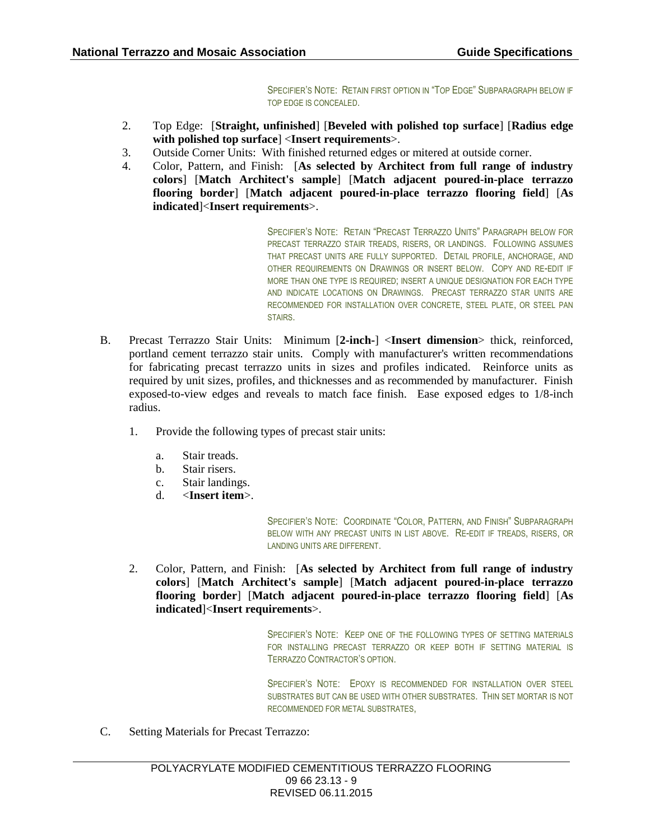SPECIFIER'S NOTE: RETAIN FIRST OPTION IN "TOP EDGE" SUBPARAGRAPH BELOW IF TOP EDGE IS CONCEALED.

- 2. Top Edge: [**Straight, unfinished**] [**Beveled with polished top surface**] [**Radius edge with polished top surface**] <**Insert requirements**>.
- 3. Outside Corner Units: With finished returned edges or mitered at outside corner.
- 4. Color, Pattern, and Finish: [**As selected by Architect from full range of industry colors**] [**Match Architect's sample**] [**Match adjacent poured-in-place terrazzo flooring border**] [**Match adjacent poured-in-place terrazzo flooring field**] [**As indicated**]<**Insert requirements**>.

SPECIFIER'S NOTE: RETAIN "PRECAST TERRAZZO UNITS" PARAGRAPH BELOW FOR PRECAST TERRAZZO STAIR TREADS, RISERS, OR LANDINGS. FOLLOWING ASSUMES THAT PRECAST UNITS ARE FULLY SUPPORTED. DETAIL PROFILE, ANCHORAGE, AND OTHER REQUIREMENTS ON DRAWINGS OR INSERT BELOW. COPY AND RE-EDIT IF MORE THAN ONE TYPE IS REQUIRED; INSERT A UNIQUE DESIGNATION FOR EACH TYPE AND INDICATE LOCATIONS ON DRAWINGS. PRECAST TERRAZZO STAR UNITS ARE RECOMMENDED FOR INSTALLATION OVER CONCRETE, STEEL PLATE, OR STEEL PAN STAIRS.

- B. Precast Terrazzo Stair Units: Minimum [**2-inch-**] <**Insert dimension**> thick, reinforced, portland cement terrazzo stair units. Comply with manufacturer's written recommendations for fabricating precast terrazzo units in sizes and profiles indicated. Reinforce units as required by unit sizes, profiles, and thicknesses and as recommended by manufacturer. Finish exposed-to-view edges and reveals to match face finish. Ease exposed edges to 1/8-inch radius.
	- 1. Provide the following types of precast stair units:
		- a. Stair treads.
		- b. Stair risers.
		- c. Stair landings.
		- d. <**Insert item**>.

SPECIFIER'S NOTE: COORDINATE "COLOR, PATTERN, AND FINISH" SUBPARAGRAPH BELOW WITH ANY PRECAST UNITS IN LIST ABOVE. RE-EDIT IF TREADS, RISERS, OR LANDING UNITS ARE DIFFERENT.

2. Color, Pattern, and Finish: [**As selected by Architect from full range of industry colors**] [**Match Architect's sample**] [**Match adjacent poured-in-place terrazzo flooring border**] [**Match adjacent poured-in-place terrazzo flooring field**] [**As indicated**]<**Insert requirements**>.

> SPECIFIER'S NOTE: KEEP ONE OF THE FOLLOWING TYPES OF SETTING MATERIALS FOR INSTALLING PRECAST TERRAZZO OR KEEP BOTH IF SETTING MATERIAL IS TERRAZZO CONTRACTOR'S OPTION.

> SPECIFIER'S NOTE: EPOXY IS RECOMMENDED FOR INSTALLATION OVER STEEL SUBSTRATES BUT CAN BE USED WITH OTHER SUBSTRATES. THIN SET MORTAR IS NOT RECOMMENDED FOR METAL SUBSTRATES,

C. Setting Materials for Precast Terrazzo: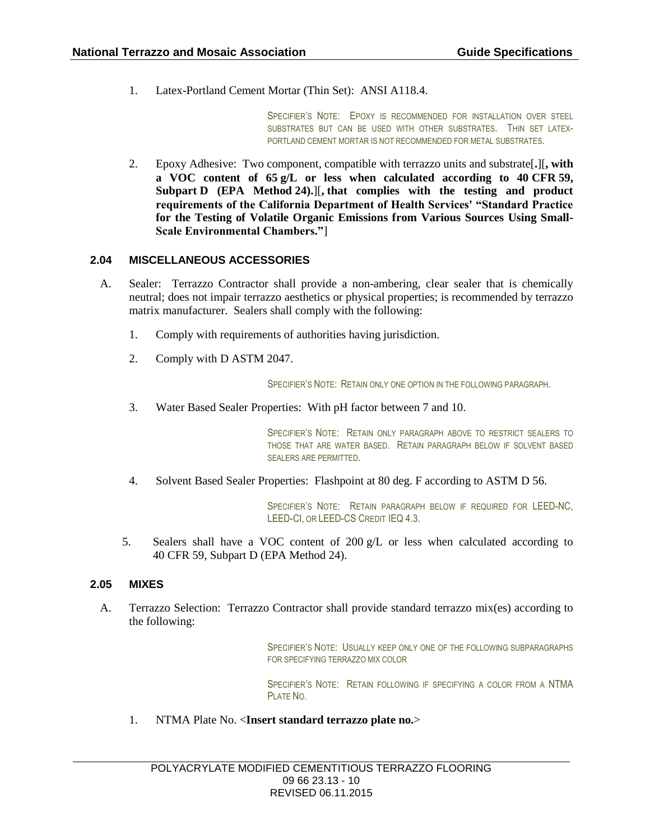1. Latex-Portland Cement Mortar (Thin Set): ANSI A118.4.

SPECIFIER'S NOTE: EPOXY IS RECOMMENDED FOR INSTALLATION OVER STEEL SUBSTRATES BUT CAN BE USED WITH OTHER SUBSTRATES. THIN SET LATEX-PORTLAND CEMENT MORTAR IS NOT RECOMMENDED FOR METAL SUBSTRATES.

2. Epoxy Adhesive: Two component, compatible with terrazzo units and substrate[**.**][**, with a VOC content of 65 g/L or less when calculated according to 40 CFR 59, Subpart D (EPA Method 24).**][**, that complies with the testing and product requirements of the California Department of Health Services' "Standard Practice for the Testing of Volatile Organic Emissions from Various Sources Using Small-Scale Environmental Chambers."**]

## **2.04 MISCELLANEOUS ACCESSORIES**

- A. Sealer: Terrazzo Contractor shall provide a non-ambering, clear sealer that is chemically neutral; does not impair terrazzo aesthetics or physical properties; is recommended by terrazzo matrix manufacturer. Sealers shall comply with the following:
	- 1. Comply with requirements of authorities having jurisdiction.
	- 2. Comply with D ASTM 2047.

SPECIFIER'S NOTE: RETAIN ONLY ONE OPTION IN THE FOLLOWING PARAGRAPH.

3. Water Based Sealer Properties: With pH factor between 7 and 10.

SPECIFIER'S NOTE: RETAIN ONLY PARAGRAPH ABOVE TO RESTRICT SEALERS TO THOSE THAT ARE WATER BASED. RETAIN PARAGRAPH BELOW IF SOLVENT BASED SEALERS ARE PERMITTED.

4. Solvent Based Sealer Properties: Flashpoint at 80 deg. F according to ASTM D 56.

SPECIFIER'S NOTE: RETAIN PARAGRAPH BELOW IF REQUIRED FOR LEED-NC, LEED-CI, OR LEED-CS CREDIT IEQ 4.3.

5. Sealers shall have a VOC content of 200  $g/L$  or less when calculated according to 40 CFR 59, Subpart D (EPA Method 24).

## **2.05 MIXES**

A. Terrazzo Selection: Terrazzo Contractor shall provide standard terrazzo mix(es) according to the following:

> SPECIFIER'S NOTE: USUALLY KEEP ONLY ONE OF THE FOLLOWING SUBPARAGRAPHS FOR SPECIFYING TERRAZZO MIX COLOR

> SPECIFIER'S NOTE: RETAIN FOLLOWING IF SPECIFYING A COLOR FROM A NTMA PLATE NO.

1. NTMA Plate No. <**Insert standard terrazzo plate no.**>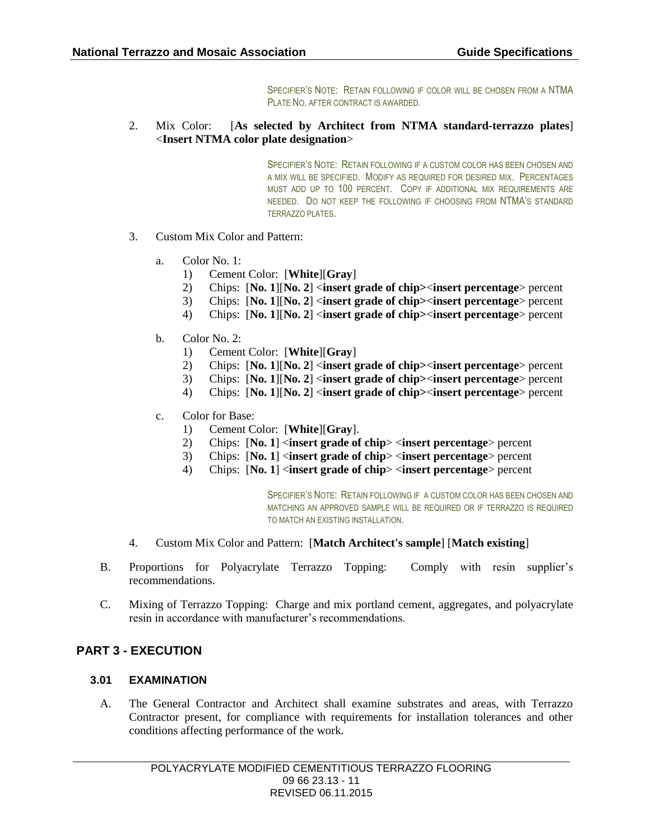SPECIFIER'S NOTE: RETAIN FOLLOWING IF COLOR WILL BE CHOSEN FROM A NTMA PLATE NO. AFTER CONTRACT IS AWARDED.

2. Mix Color: [**As selected by Architect from NTMA standard-terrazzo plates**] <**Insert NTMA color plate designation**>

> SPECIFIER'S NOTE: RETAIN FOLLOWING IF A CUSTOM COLOR HAS BEEN CHOSEN AND A MIX WILL BE SPECIFIED. MODIFY AS REQUIRED FOR DESIRED MIX. PERCENTAGES MUST ADD UP TO 100 PERCENT. COPY IF ADDITIONAL MIX REQUIREMENTS ARE NEEDED. DO NOT KEEP THE FOLLOWING IF CHOOSING FROM NTMA'S STANDARD TERRAZZO PLATES.

- 3. Custom Mix Color and Pattern:
	- a. Color No. 1:
		- 1) Cement Color: [**White**][**Gray**]
		- 2) Chips: [**No. 1**][**No. 2**] <**insert grade of chip>**<**insert percentage**> percent
		- 3) Chips: [**No. 1**][**No. 2**] <**insert grade of chip>**<**insert percentage**> percent
		- 4) Chips: [**No. 1**][**No. 2**] <**insert grade of chip>**<**insert percentage**> percent
	- b. Color No. 2:
		- 1) Cement Color: [**White**][**Gray**]
		- 2) Chips: [**No. 1**][**No. 2**] <**insert grade of chip>**<**insert percentage**> percent
		- 3) Chips: [**No. 1**][**No. 2**] <**insert grade of chip>**<**insert percentage**> percent
		- 4) Chips: [**No. 1**][**No. 2**] <**insert grade of chip>**<**insert percentage**> percent
	- c. Color for Base:
		- 1) Cement Color: [**White**][**Gray**].
		- 2) Chips: [**No. 1**] <**insert grade of chip**> <**insert percentage**> percent
		- 3) Chips: [**No. 1**] <**insert grade of chip**> <**insert percentage**> percent
		- 4) Chips: [**No. 1**] <**insert grade of chip**> <**insert percentage**> percent

SPECIFIER'S NOTE: RETAIN FOLLOWING IF A CUSTOM COLOR HAS BEEN CHOSEN AND MATCHING AN APPROVED SAMPLE WILL BE REQUIRED OR IF TERRAZZO IS REQUIRED TO MATCH AN EXISTING INSTALLATION.

- 4. Custom Mix Color and Pattern: [**Match Architect's sample**] [**Match existing**]
- B. Proportions for Polyacrylate Terrazzo Topping: Comply with resin supplier's recommendations.
- C. Mixing of Terrazzo Topping: Charge and mix portland cement, aggregates, and polyacrylate resin in accordance with manufacturer's recommendations.

## **PART 3 - EXECUTION**

## **3.01 EXAMINATION**

A. The General Contractor and Architect shall examine substrates and areas, with Terrazzo Contractor present, for compliance with requirements for installation tolerances and other conditions affecting performance of the work.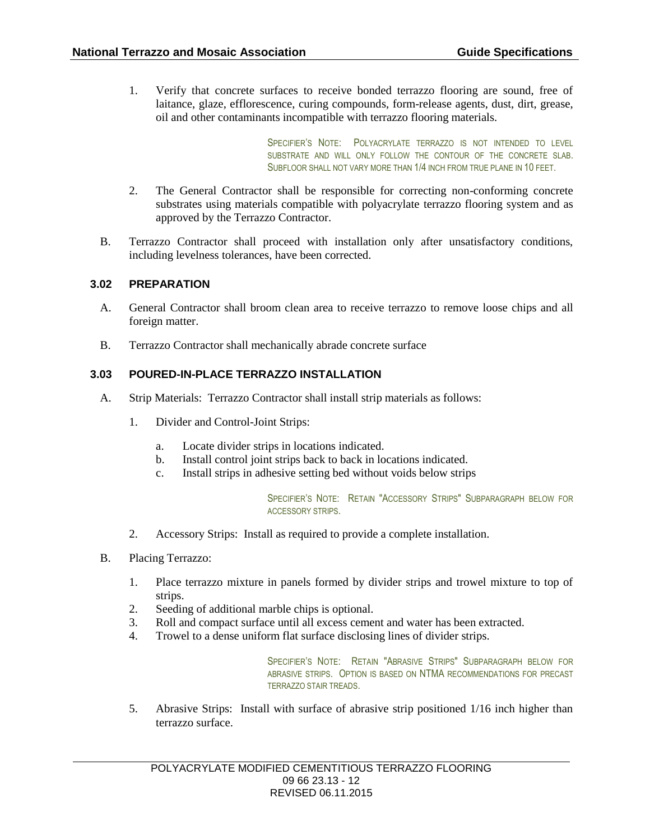1. Verify that concrete surfaces to receive bonded terrazzo flooring are sound, free of laitance, glaze, efflorescence, curing compounds, form-release agents, dust, dirt, grease, oil and other contaminants incompatible with terrazzo flooring materials.

> SPECIFIER'S NOTE: POLYACRYLATE TERRAZZO IS NOT INTENDED TO LEVEL SUBSTRATE AND WILL ONLY FOLLOW THE CONTOUR OF THE CONCRETE SLAB. SUBFLOOR SHALL NOT VARY MORE THAN 1/4 INCH FROM TRUE PLANE IN 10 FEET.

- 2. The General Contractor shall be responsible for correcting non-conforming concrete substrates using materials compatible with polyacrylate terrazzo flooring system and as approved by the Terrazzo Contractor.
- B. Terrazzo Contractor shall proceed with installation only after unsatisfactory conditions, including levelness tolerances, have been corrected.

## **3.02 PREPARATION**

- A. General Contractor shall broom clean area to receive terrazzo to remove loose chips and all foreign matter.
- B. Terrazzo Contractor shall mechanically abrade concrete surface

## **3.03 POURED-IN-PLACE TERRAZZO INSTALLATION**

- A. Strip Materials: Terrazzo Contractor shall install strip materials as follows:
	- 1. Divider and Control-Joint Strips:
		- a. Locate divider strips in locations indicated.
		- b. Install control joint strips back to back in locations indicated.
		- c. Install strips in adhesive setting bed without voids below strips

SPECIFIER'S NOTE: RETAIN "ACCESSORY STRIPS" SUBPARAGRAPH BELOW FOR ACCESSORY STRIPS.

- 2. Accessory Strips: Install as required to provide a complete installation.
- B. Placing Terrazzo:
	- 1. Place terrazzo mixture in panels formed by divider strips and trowel mixture to top of strips.
	- 2. Seeding of additional marble chips is optional.
	- 3. Roll and compact surface until all excess cement and water has been extracted.
	- 4. Trowel to a dense uniform flat surface disclosing lines of divider strips.

SPECIFIER'S NOTE: RETAIN "ABRASIVE STRIPS" SUBPARAGRAPH BELOW FOR ABRASIVE STRIPS. OPTION IS BASED ON NTMA RECOMMENDATIONS FOR PRECAST TERRAZZO STAIR TREADS.

5. Abrasive Strips: Install with surface of abrasive strip positioned 1/16 inch higher than terrazzo surface.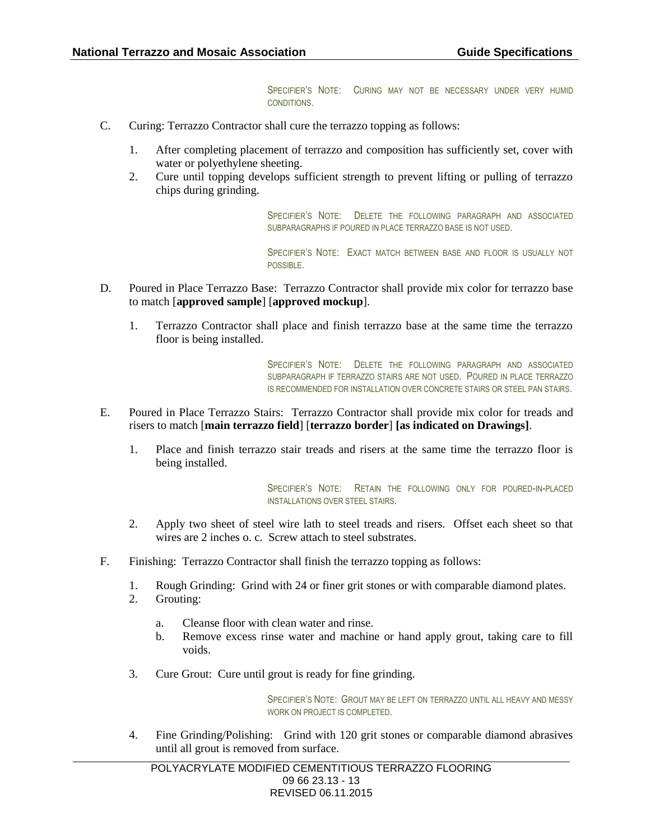SPECIFIER'S NOTE: CURING MAY NOT BE NECESSARY UNDER VERY HUMID CONDITIONS.

- C. Curing: Terrazzo Contractor shall cure the terrazzo topping as follows:
	- 1. After completing placement of terrazzo and composition has sufficiently set, cover with water or polyethylene sheeting.
	- 2. Cure until topping develops sufficient strength to prevent lifting or pulling of terrazzo chips during grinding.

SPECIFIER'S NOTE: DELETE THE FOLLOWING PARAGRAPH AND ASSOCIATED SUBPARAGRAPHS IF POURED IN PLACE TERRAZZO BASE IS NOT USED.

SPECIFIER'S NOTE: EXACT MATCH BETWEEN BASE AND FLOOR IS USUALLY NOT POSSIBLE.

- D. Poured in Place Terrazzo Base: Terrazzo Contractor shall provide mix color for terrazzo base to match [**approved sample**] [**approved mockup**].
	- 1. Terrazzo Contractor shall place and finish terrazzo base at the same time the terrazzo floor is being installed.

SPECIFIER'S NOTE: DELETE THE FOLLOWING PARAGRAPH AND ASSOCIATED SUBPARAGRAPH IF TERRAZZO STAIRS ARE NOT USED. POURED IN PLACE TERRAZZO IS RECOMMENDED FOR INSTALLATION OVER CONCRETE STAIRS OR STEEL PAN STAIRS.

- E. Poured in Place Terrazzo Stairs: Terrazzo Contractor shall provide mix color for treads and risers to match [**main terrazzo field**] [**terrazzo border**] **[as indicated on Drawings]**.
	- 1. Place and finish terrazzo stair treads and risers at the same time the terrazzo floor is being installed.

SPECIFIER'S NOTE: RETAIN THE FOLLOWING ONLY FOR POURED-IN-PLACED INSTALLATIONS OVER STEEL STAIRS.

- 2. Apply two sheet of steel wire lath to steel treads and risers. Offset each sheet so that wires are 2 inches o. c. Screw attach to steel substrates.
- F. Finishing: Terrazzo Contractor shall finish the terrazzo topping as follows:
	- 1. Rough Grinding: Grind with 24 or finer grit stones or with comparable diamond plates.
	- 2. Grouting:
		- a. Cleanse floor with clean water and rinse.
		- b. Remove excess rinse water and machine or hand apply grout, taking care to fill voids.
	- 3. Cure Grout: Cure until grout is ready for fine grinding.

SPECIFIER'S NOTE: GROUT MAY BE LEFT ON TERRAZZO UNTIL ALL HEAVY AND MESSY WORK ON PROJECT IS COMPLETED.

4. Fine Grinding/Polishing: Grind with 120 grit stones or comparable diamond abrasives until all grout is removed from surface.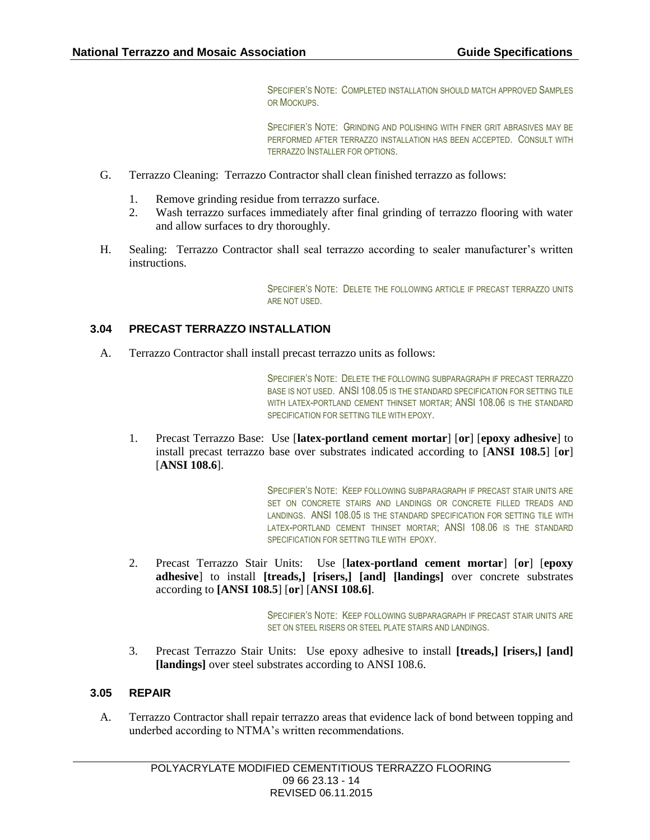SPECIFIER'S NOTE: COMPLETED INSTALLATION SHOULD MATCH APPROVED SAMPLES OR MOCKUPS.

SPECIFIER'S NOTE: GRINDING AND POLISHING WITH FINER GRIT ABRASIVES MAY BE PERFORMED AFTER TERRAZZO INSTALLATION HAS BEEN ACCEPTED. CONSULT WITH TERRAZZO INSTALLER FOR OPTIONS.

- G. Terrazzo Cleaning: Terrazzo Contractor shall clean finished terrazzo as follows:
	- 1. Remove grinding residue from terrazzo surface.
	- 2. Wash terrazzo surfaces immediately after final grinding of terrazzo flooring with water and allow surfaces to dry thoroughly.
- H. Sealing: Terrazzo Contractor shall seal terrazzo according to sealer manufacturer's written instructions.

SPECIFIER'S NOTE: DELETE THE FOLLOWING ARTICLE IF PRECAST TERRAZZO UNITS ARE NOT USED.

## **3.04 PRECAST TERRAZZO INSTALLATION**

A. Terrazzo Contractor shall install precast terrazzo units as follows:

SPECIFIER'S NOTE: DELETE THE FOLLOWING SUBPARAGRAPH IF PRECAST TERRAZZO BASE IS NOT USED. ANSI 108.05 IS THE STANDARD SPECIFICATION FOR SETTING TILE WITH LATEX-PORTLAND CEMENT THINSET MORTAR; ANSI 108.06 IS THE STANDARD SPECIFICATION FOR SETTING TILE WITH EPOXY.

1. Precast Terrazzo Base: Use [**latex-portland cement mortar**] [**or**] [**epoxy adhesive**] to install precast terrazzo base over substrates indicated according to [**ANSI 108.5**] [**or**] [**ANSI 108.6**].

> SPECIFIER'S NOTE: KEEP FOLLOWING SUBPARAGRAPH IF PRECAST STAIR UNITS ARE SET ON CONCRETE STAIRS AND LANDINGS OR CONCRETE FILLED TREADS AND LANDINGS. ANSI 108.05 IS THE STANDARD SPECIFICATION FOR SETTING TILE WITH LATEX-PORTLAND CEMENT THINSET MORTAR; ANSI 108.06 IS THE STANDARD SPECIFICATION FOR SETTING TILE WITH EPOXY.

2. Precast Terrazzo Stair Units: Use [**latex-portland cement mortar**] [**or**] [**epoxy adhesive**] to install **[treads,] [risers,] [and] [landings]** over concrete substrates according to **[ANSI 108.5**] [**or**] [**ANSI 108.6]**.

> SPECIFIER'S NOTE: KEEP FOLLOWING SUBPARAGRAPH IF PRECAST STAIR UNITS ARE SET ON STEEL RISERS OR STEEL PLATE STAIRS AND LANDINGS.

3. Precast Terrazzo Stair Units: Use epoxy adhesive to install **[treads,] [risers,] [and] [landings]** over steel substrates according to ANSI 108.6.

## **3.05 REPAIR**

A. Terrazzo Contractor shall repair terrazzo areas that evidence lack of bond between topping and underbed according to NTMA's written recommendations.